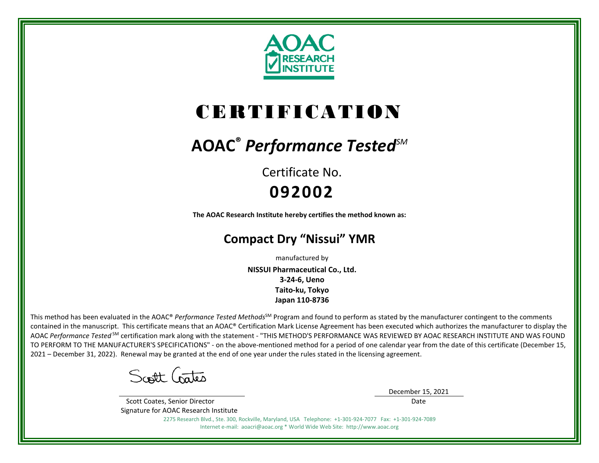

# CERTIFICATION

## **AOAC®** *Performance TestedSM*

Certificate No. **092002**

**The AOAC Research Institute hereby certifies the method known as:**

### **Compact Dry "Nissui" YMR**

manufactured by **NISSUI Pharmaceutical Co., Ltd. 3-24-6, Ueno Taito-ku, Tokyo Japan 110-8736**

This method has been evaluated in the AOAC® *Performance Tested Methods*<sup>SM</sup> Program and found to perform as stated by the manufacturer contingent to the comments contained in the manuscript. This certificate means that an AOAC® Certification Mark License Agreement has been executed which authorizes the manufacturer to display the AOAC *Performance Tested* SM certification mark along with the statement - "THIS METHOD'S PERFORMANCE WAS REVIEWED BY AOAC RESEARCH INSTITUTE AND WAS FOUND TO PERFORM TO THE MANUFACTURER'S SPECIFICATIONS" - on the above-mentioned method for a period of one calendar year from the date of this certificate (December 15, 2021 – December 31, 2022). Renewal may be granted at the end of one year under the rules stated in the licensing agreement.

Scott Gates

December 15, 2021 Date

 Scott Coates, Senior Director Signature for AOAC Research Institute

2275 Research Blvd., Ste. 300, Rockville, Maryland, USA Telephone: +1-301-924-7077 Fax: +1-301-924-7089

Internet e-mail: aoacri@aoac.org \* World Wide Web Site: http://www.aoac.org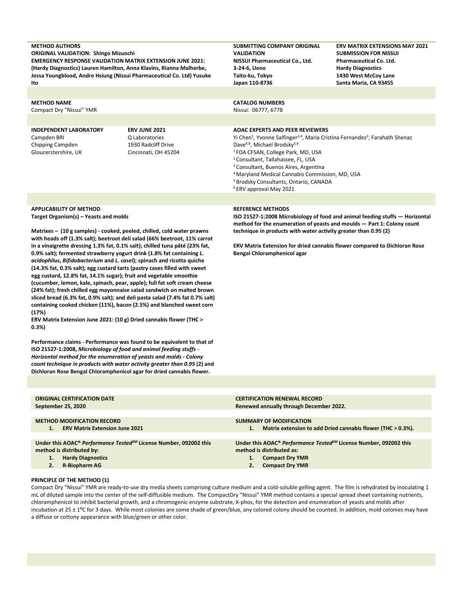#### **METHOD AUTHORS**

**ORIGINAL VALIDATION: Shingo Mizuochi EMERGENCY RESPONSE VALIDATION MATRIX EXTENSION JUNE 2021: (Hardy Diagnostics) Lauren Hamilton, Anna Klavins, Rianna Malherbe, Jessa Youngblood, Andre Hsiung (Nissui Pharmaceutical Co. Ltd) Yusuke Ito**

#### **METHOD NAME**

Compact Dry "Nissui" YMR

#### **INDEPENDENT LABORATORY**  Campden BRI Chipping Campden Gloucerstershire, UK

**ERV JUNE 2021** Q Laboratories 1930 Radcliff Drive Cincinnati, OH 45204

**SUBMITTING COMPANY ORIGINAL VALIDATION NISSUI Pharmaceutical Co., Ltd. 3-24-6, Ueno Taito-ku, Tokyo Japan 110-8736**

**ERV MATRIX EXTENSIONS MAY 2021 SUBMISSION FOR NISSUI Pharmaceutical Co. Ltd. Hardy Diagnostics 1430 West McCoy Lane Santa Maria, CA 93455**

#### **CATALOG NUMBERS**

Nissui: 06777, 6778

#### **AOAC EXPERTS AND PEER REVIEWERS**

Yi Chen<sup>1</sup>, Yvonne Salfinger<sup>2,6</sup>, Maria Cristina Fernandez<sup>3</sup>, Farahath Shenaz Dave<sup>4,6</sup>, Michael Brodsky<sup>5,6</sup> 1 FDA CFSAN, College Park, MD, USA 2 Consultant, Tallahassee, FL, USA 3 Consultant, Buenos Aires, Argentina

- 4 Maryland Medical Cannabis Commission, MD, USA
- 5 Brodsky Consultants, Ontario, CANADA
- <sup>6</sup> ERV approval May 2021

#### **APPLICABILITY OF METHOD Target Organism(s) – Yeasts and molds**

**Matrixes – (10 g samples) - cooked, peeled, chilled, cold water prawns with heads off (1.3% salt); beetroot deli salad (66% beetroot, 11% carrot in a vinaigrette dressing 1.3% fat, 0.1% salt); chilled tuna pâté (23% fat, 0.9% salt); fermented strawberry yogurt drink (1.8% fat containing** *L. acidophilus***,** *Bifidobacterium* **and** *L. casei***); spinach and ricotta quiche (14.3% fat, 0.3% salt); egg custard tarts (pastry cases filled with sweet egg custard, 12.8% fat, 14.1% sugar); fruit and vegetable smoothie (cucumber, lemon, kale, spinach, pear, apple); full fat soft cream cheese (24% fat); fresh chilled egg mayonnaise salad sandwich on malted brown sliced bread (6.3% fat, 0.9% salt); and deli pasta salad (7.4% fat 0.7% salt) containing cooked chicken (11%), bacon (2.5%) and blanched sweet corn (17%)**

**ERV Matrix Extension June 2021: (10 g) Dried cannabis flower (THC > 0.3%)**

**Performance claims - Performance was found to be equivalent to that of ISO 21527-1:2008,** *Microbiology of food and animal feeding stuffs - Horizontal method for the enumeration of yeasts and molds - Colony count technique in products with water activity greater than 0.95* **(2) and Dichloran Rose Bengal Chloramphenicol agar for dried cannabis flower.**

#### **REFERENCE METHODS**

**ISO 21527-1:2008 Microbiology of food and animal feeding stuffs — Horizontal method for the enumeration of yeasts and moulds — Part 1: Colony count technique in products with water activity greater than 0.95 (2)**

**ERV Matrix Extension for dried cannabis flower compared to Dichloran Rose Bengal Chloramphenicol agar**

| <b>ORIGINAL CERTIFICATION DATE</b>                                                                                                                                   | <b>CERTIFICATION RENEWAL RECORD</b>                                                                                                                            |
|----------------------------------------------------------------------------------------------------------------------------------------------------------------------|----------------------------------------------------------------------------------------------------------------------------------------------------------------|
| September 25, 2020                                                                                                                                                   | Renewed annually through December 2022.                                                                                                                        |
| <b>METHOD MODIFICATION RECORD</b>                                                                                                                                    | SUMMARY OF MODIFICATION                                                                                                                                        |
| <b>ERV Matrix Extension June 2021</b>                                                                                                                                | Matrix extension to add Dried cannabis flower (THC > 0.3%).                                                                                                    |
| 1.                                                                                                                                                                   | 1.                                                                                                                                                             |
| Under this AOAC® Performance Tested <sup>SM</sup> License Number, 092002 this<br>method is distributed by:<br><b>Hardy Diagnostics</b><br>1.<br><b>R-Biopharm AG</b> | Under this AOAC® Performance Tested <sup>SM</sup> License Number, 092002 this<br>method is distributed as:<br><b>Compact Dry YMR</b><br><b>Compact Dry YMR</b> |

#### **PRINCIPLE OF THE METHOD (1)**

Compact Dry "Nissui" YMR are ready-to-use dry media sheets comprising culture medium and a cold-soluble gelling agent. The film is rehydrated by inoculating 1 mL of diluted sample into the center of the self-diffusible medium. The CompactDry "Nissui" YMR method contains a special spread sheet containing nutrients, chloramphenicol to inhibit bacterial growth, and a chromogenic enzyme substrate, X-phos, for the detection and enumeration of yeasts and molds after incubation at  $25 \pm 1^{\circ}$ C for 3 days. While most colonies are some shade of green/blue, any colored colony should be counted. In addition, mold colonies may have a diffuse or cottony appearance with blue/green or other color.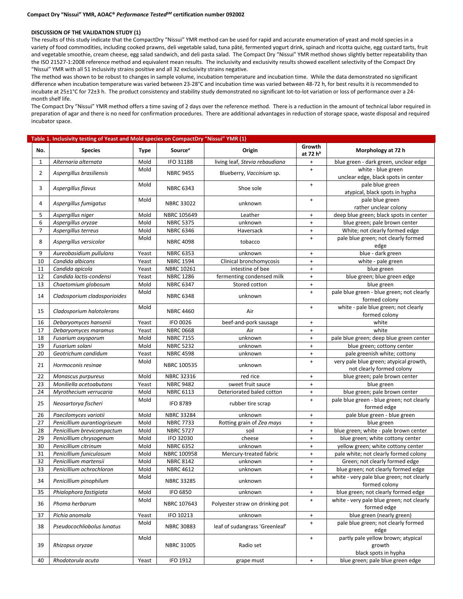#### **DISCUSSION OF THE VALIDATION STUDY (1)**

The results of this study indicate that the CompactDry "Nissui" YMR method can be used for rapid and accurate enumeration of yeast and mold species in a variety of food commodities, including cooked prawns, deli vegetable salad, tuna pâté, fermented yogurt drink, spinach and ricotta quiche, egg custard tarts, fruit and vegetable smoothie, cream cheese, egg salad sandwich, and deli pasta salad. The Compact Dry "Nissui" YMR method shows slightly better repeatability than the ISO 21527-1:2008 reference method and equivalent mean results. The inclusivity and exclusivity results showed excellent selectivity of the Compact Dry "Nissui" YMR with all 51 inclusivity strains positive and all 32 exclusivity strains negative.

The method was shown to be robust to changes in sample volume, incubation temperature and incubation time. While the data demonstrated no significant difference when incubation temperature was varied between 23-28°C and incubation time was varied between 48-72 h, for best results it is recommended to incubate at 25±1°C for 72±3 h. The product consistency and stability study demonstrated no significant lot-to-lot variation or loss of performance over a 24 month shelf life.

The Compact Dry "Nissui" YMR method offers a time saving of 2 days over the reference method. There is a reduction in the amount of technical labor required in preparation of agar and there is no need for confirmation procedures. There are additional advantages in reduction of storage space, waste disposal and required incubator space.

|                | Table 1. Inclusivity testing of Yeast and Mold species on CompactDry "Nissui" YMR (1) |       |                     |                                 |                                  |                                                                      |
|----------------|---------------------------------------------------------------------------------------|-------|---------------------|---------------------------------|----------------------------------|----------------------------------------------------------------------|
| No.            | <b>Species</b>                                                                        | Type  | Source <sup>a</sup> | Origin                          | Growth<br>at 72 h <sup>b</sup>   | Morphology at 72 h                                                   |
| $\mathbf{1}$   | Alternaria alternata                                                                  | Mold  | IFO 31188           | living leaf, Stevia rebaudiana  | $+$                              | blue green - dark green, unclear edge                                |
| 2              | Aspergillus brasiliensis                                                              | Mold  | <b>NBRC 9455</b>    | Blueberry, Vaccinium sp.        | $+$                              | white - blue green<br>unclear edge, black spots in center            |
| 3              | Aspergillus flavus                                                                    | Mold  | <b>NBRC 6343</b>    | Shoe sole                       | $+$                              | pale blue green<br>atypical, black spots in hypha                    |
| 4              | Aspergillus fumigatus                                                                 | Mold  | <b>NBRC 33022</b>   | unknown                         | $\begin{array}{c} + \end{array}$ | pale blue green<br>rather unclear colony                             |
| 5              | Aspergillus niger                                                                     | Mold  | NBRC 105649         | Leather                         | $+$                              | deep blue green; black spots in center                               |
| 6              | Aspergillus oryzae                                                                    | Mold  | <b>NBRC 5375</b>    | unknown                         | $+$                              | blue green; pale brown center                                        |
| $\overline{7}$ | Aspergillus terreus                                                                   | Mold  | <b>NBRC 6346</b>    | Haversack                       | $\ddot{}$                        | White; not clearly formed edge                                       |
| 8              | Aspergillus versicolor                                                                | Mold  | <b>NBRC 4098</b>    | tobacco                         | $\ddot{}$                        | pale blue green; not clearly formed<br>edge                          |
| 9              | Aureobasidium pullulans                                                               | Yeast | <b>NBRC 6353</b>    | unknown                         | $\ddot{}$                        | blue - dark green                                                    |
| 10             | Candida albicans                                                                      | Yeast | <b>NBRC 1594</b>    | Clinical bronchomycosis         | $\ddot{}$                        | white - pale green                                                   |
| 11             | Candida apicola                                                                       | Yeast | NBRC 10261          | intestine of bee                | $\ddot{}$                        | blue green                                                           |
| 12             | Candida lactis-condensi                                                               | Yeast | <b>NBRC 1286</b>    | fermenting condensed milk       | $\ddot{}$                        | blue green; blue green edge                                          |
| 13             | Chaetomium globosum                                                                   | Mold  | <b>NBRC 6347</b>    | Stored cotton                   | $+$                              | blue green                                                           |
| 14             | Cladosporium cladosporioides                                                          | Mold  | <b>NBRC 6348</b>    | unknown                         | $+$                              | pale blue green - blue green; not clearly<br>formed colony           |
| 15             | Cladosporium halotolerans                                                             | Mold  | <b>NBRC 4460</b>    | Air                             | $+$                              | white - pale blue green; not clearly<br>formed colony                |
| 16             | Debaryomyces hansenii                                                                 | Yeast | IFO 0026            | beef-and-pork sausage           | $\ddot{}$                        | white                                                                |
| 17             | Debaryomyces maramus                                                                  | Yeast | <b>NBRC 0668</b>    | Air                             | $\ddot{}$                        | white                                                                |
| 18             | Fusarium oxysporum                                                                    | Mold  | <b>NBRC 7155</b>    | unknown                         | $\ddot{}$                        | pale blue green; deep blue green center                              |
| 19             | Fusarium solani                                                                       | Mold  | <b>NBRC 5232</b>    | unknown                         | $+$                              | blue green; cottony center                                           |
| 20             | Geotrichum candidum                                                                   | Yeast | <b>NBRC 4598</b>    | unknown                         | $+$                              | pale greenish white; cottony                                         |
| 21             | Hormoconis resinae                                                                    | Mold  | NBRC 100535         | unknown                         | $+$                              | very pale blue green; atypical growth,<br>not clearly formed colony  |
| 22             | Monascus purpureus                                                                    | Mold  | NBRC 32316          | red rice                        | $\ddot{}$                        | blue green; pale brown center                                        |
| 23             | Moniliella acetoabutans                                                               | Yeast | <b>NBRC 9482</b>    | sweet fruit sauce               | $\ddot{}$                        | blue green                                                           |
| 24             | Myrothecium verrucaria                                                                | Mold  | <b>NBRC 6113</b>    | Deteriorated baled cotton       | $\ddot{}$                        | blue green; pale brown center                                        |
| 25             | Neosartorya fischeri                                                                  | Mold  | <b>IFO 8789</b>     | rubber tire scrap               | $+$                              | pale blue green - blue green; not clearly<br>formed edge             |
| 26             | Paecilomyces variotii                                                                 | Mold  | NBRC 33284          | unknown                         | $\ddot{}$                        | pale blue green - blue green                                         |
| 27             | Penicillium aurantiogriseum                                                           | Mold  | <b>NBRC 7733</b>    | Rotting grain of Zea mays       | $+$                              | blue green                                                           |
| 28             | Penicillium brevicompactum                                                            | Mold  | <b>NBRC 5727</b>    | soil                            | $\ddot{}$                        | blue green; white - pale brown center                                |
| 29             | Penicillium chrysogenum                                                               | Mold  | IFO 32030           | cheese                          | $\ddot{}$                        | blue green; white cottony center                                     |
| 30             | Penicillium citrinum                                                                  | Mold  | <b>NBRC 6352</b>    | unknown                         | $\ddot{}$                        | yellow green; white cottony center                                   |
| 31             | Penicillium funiculosum                                                               | Mold  | NBRC 100958         | Mercury-treated fabric          | $\ddot{}$                        | pale white; not clearly formed colony                                |
| 32             | Penicillium martensii                                                                 | Mold  | <b>NBRC 8142</b>    | unknown                         | $+$                              | Green; not clearly formed edge                                       |
| 33             | Penicillium ochrochloron                                                              | Mold  | <b>NBRC 4612</b>    | unknown                         | $\ddot{}$                        | blue green; not clearly formed edge                                  |
| 34             | Penicillium pinophilum                                                                | Mold  | <b>NBRC 33285</b>   | unknown                         | +                                | white - very pale blue green; not clearly<br>formed colony           |
| 35             | Phialophora fastigiata                                                                | Mold  | IFO 6850            | unknown                         | $\ddot{}$                        | blue green; not clearly formed edge                                  |
| 36             | Phoma herbarum                                                                        | Mold  | NBRC 107643         | Polyester straw on drinking pot | $+$                              | white - very pale blue green; not clearly<br>formed edge             |
| 37             | Pichia anomala                                                                        | Yeast | IFO 10213           | unknown                         | $+$                              | blue green (nearly green)                                            |
| 38             | Pseudocochliobolus lunatus                                                            | Mold  | <b>NBRC 30883</b>   | leaf of sudangrass 'Greenleaf'  | $+$                              | pale blue green; not clearly formed<br>edge                          |
| 39             | Rhizopus oryzae                                                                       | Mold  | <b>NBRC 31005</b>   | Radio set                       | $\ddot{}$                        | partly pale yellow brown; atypical<br>growth<br>black spots in hypha |
| 40             | Rhodotorula acuta                                                                     | Yeast | IFO 1912            | grape must                      | $+$                              | blue green; pale blue green edge                                     |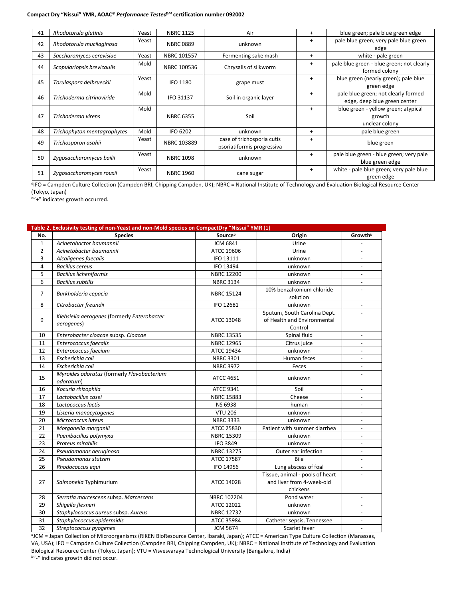#### **Compact Dry "Nissui" YMR, AOAC®** *Performance TestedSM* **certification number 092002**

| 41 | Rhodotorula glutinis        | Yeast | <b>NBRC 1125</b> | Air                                                      | $\ddot{}$ | blue green; pale blue green edge                                    |
|----|-----------------------------|-------|------------------|----------------------------------------------------------|-----------|---------------------------------------------------------------------|
| 42 | Rhodotorula mucilaginosa    | Yeast | <b>NBRC 0889</b> | unknown                                                  | $\ddot{}$ | pale blue green; very pale blue green<br>edge                       |
| 43 | Saccharomyces cerevisiae    | Yeast | NBRC 101557      | Fermenting sake mash                                     | $\ddot{}$ | white - pale green                                                  |
| 44 | Scopulariopsis brevicaulis  | Mold  | NBRC 100536      | Chrysalis of silkworm                                    | $\ddot{}$ | pale blue green - blue green; not clearly<br>formed colony          |
| 45 | Torulaspora delbrueckii     | Yeast | <b>IFO 1180</b>  | grape must                                               | $\ddot{}$ | blue green (nearly green); pale blue<br>green edge                  |
| 46 | Trichoderma citrinoviride   | Mold  | IFO 31137        | Soil in organic layer                                    | $\ddot{}$ | pale blue green; not clearly formed<br>edge, deep blue green center |
| 47 | Trichoderma virens          | Mold  | <b>NBRC 6355</b> | Soil                                                     | $\ddot{}$ | blue green - yellow green; atypical<br>growth<br>unclear colony     |
| 48 | Trichophyton mentagrophytes | Mold  | <b>IFO 6202</b>  | unknown                                                  | $\ddot{}$ | pale blue green                                                     |
| 49 | Trichosporon asahii         | Yeast | NBRC 103889      | case of trichosporia cutis<br>psoriatiformis progressiva | $\ddot{}$ | blue green                                                          |
| 50 | Zygosaccharomyces bailii    | Yeast | <b>NBRC 1098</b> | unknown                                                  | $\ddot{}$ | pale blue green - blue green; very pale<br>blue green edge          |
| 51 | Zygosaccharomyces rouxii    | Yeast | <b>NBRC 1960</b> | cane sugar                                               | $\ddot{}$ | white - pale blue green; very pale blue<br>green edge               |

*<sup>a</sup>*IFO = Campden Culture Collection (Campden BRI, Chipping Campden, UK); NBRC = National Institute of Technology and Evaluation Biological Resource Center (Tokyo, Japan)

*<sup>b</sup>*"+" indicates growth occurred.

|                | Table 2. Exclusivity testing of non-Yeast and non-Mold species on CompactDry "Nissui" YMR (1) |                     |                                                                          |                          |
|----------------|-----------------------------------------------------------------------------------------------|---------------------|--------------------------------------------------------------------------|--------------------------|
| No.            | <b>Species</b>                                                                                | Source <sup>a</sup> | Origin                                                                   | Growth <sup>b</sup>      |
| $\mathbf{1}$   | Acinetobactor baumannii                                                                       | <b>JCM 6841</b>     | Urine                                                                    |                          |
| $\overline{2}$ | Acinetobacter baumannii                                                                       | ATCC 19606          | Urine                                                                    | $\overline{a}$           |
| 3              | Alcaligenes faecalis                                                                          | IFO 13111           | unknown                                                                  | $\overline{\phantom{a}}$ |
| 4              | <b>Bacillus cereus</b>                                                                        | IFO 13494           | unknown                                                                  | $\overline{\phantom{a}}$ |
| 5              | <b>Bacillus licheniformis</b>                                                                 | <b>NBRC 12200</b>   | unknown                                                                  |                          |
| 6              | <b>Bacillus subtilis</b>                                                                      | <b>NBRC 3134</b>    | unknown                                                                  | $\overline{\phantom{a}}$ |
| 7              | Burkholderia cepacia                                                                          | <b>NBRC 15124</b>   | 10% benzalkonium chloride<br>solution                                    |                          |
| 8              | Citrobacter freundii                                                                          | IFO 12681           | unknown                                                                  |                          |
| 9              | Klebsiella aerogenes (formerly Enterobacter<br>aerogenes)                                     | ATCC 13048          | Sputum, South Carolina Dept.<br>of Health and Environmental<br>Control   |                          |
| 10             | Enterobacter cloacae subsp. Cloacae                                                           | NBRC 13535          | Spinal fluid                                                             | $\overline{\phantom{a}}$ |
| 11             | Enterococcus faecalis                                                                         | <b>NBRC 12965</b>   | Citrus juice                                                             | $\overline{a}$           |
| 12             | Enterococcus faecium                                                                          | ATCC 19434          | unknown                                                                  |                          |
| 13             | Escherichia coli                                                                              | <b>NBRC 3301</b>    | Human feces                                                              |                          |
| 14             | Escherichia coli                                                                              | <b>NBRC 3972</b>    | Feces                                                                    | $\sim$                   |
| 15             | Myroides odoratus (formerly Flavobacterium<br>odoratum)                                       | <b>ATCC 4651</b>    | unknown                                                                  |                          |
| 16             | Kocuria rhizophila                                                                            | ATCC 9341           | Soil                                                                     | $\overline{\phantom{a}}$ |
| 17             | Lactobacillus casei                                                                           | NBRC 15883          | Cheese                                                                   | $\overline{a}$           |
| 18             | Lactococcus lactis                                                                            | <b>NS 6938</b>      | human                                                                    |                          |
| 19             | Listeria monocytogenes                                                                        | <b>VTU 206</b>      | unknown                                                                  |                          |
| 20             | Micrococcus luteus                                                                            | <b>NBRC 3333</b>    | unknown                                                                  |                          |
| 21             | Morganella morganiii                                                                          | ATCC 25830          | Patient with summer diarrhea                                             | $\overline{a}$           |
| 22             | Paenibacillus polymyxa                                                                        | <b>NBRC 15309</b>   | unknown                                                                  | $\blacksquare$           |
| 23             | Proteus mirabilis                                                                             | <b>IFO 3849</b>     | unknown                                                                  | $\blacksquare$           |
| 24             | Pseudomonas aeruginosa                                                                        | <b>NBRC 13275</b>   | Outer ear infection                                                      |                          |
| 25             | Pseudomonas stutzeri                                                                          | ATCC 17587          | Bile                                                                     |                          |
| 26             | Rhodococcus equi                                                                              | IFO 14956           | Lung abscess of foal                                                     | $\overline{\phantom{a}}$ |
| 27             | Salmonella Typhimurium                                                                        | ATCC 14028          | Tissue, animal - pools of heart<br>and liver from 4-week-old<br>chickens |                          |
| 28             | Serratia marcescens subsp. Marcescens                                                         | NBRC 102204         | Pond water                                                               | $\overline{\phantom{a}}$ |
| 29             | Shigella flexneri                                                                             | ATCC 12022          | unknown                                                                  |                          |
| 30             | Staphylococcus aureus subsp. Aureus                                                           | NBRC 12732          | unknown                                                                  | $\overline{a}$           |
| 31             | Staphylococcus epidermidis                                                                    | ATCC 35984          | Catheter sepsis, Tennessee                                               | $\overline{\phantom{a}}$ |
| 32             | Streptococcus pyogenes                                                                        | <b>JCM 5674</b>     | Scarlet fever                                                            |                          |

*<sup>a</sup>*JCM = Japan Collection of Microorganisms (RIKEN BioResource Center, Ibaraki, Japan); ATCC = American Type Culture Collection (Manassas, VA, USA); IFO = Campden Culture Collection (Campden BRI, Chipping Campden, UK); NBRC = National Institute of Technology and Evaluation Biological Resource Center (Tokyo, Japan); VTU = Visvesvaraya Technological University (Bangalore, India) *b*"-" indicates growth did not occur.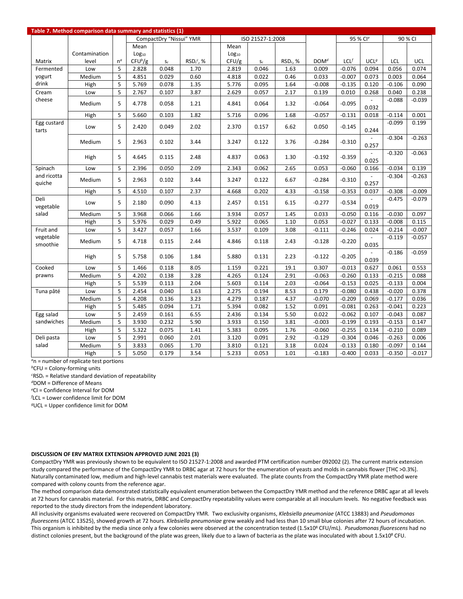|                       | Table 7. Method comparison data summary and statistics (1) |              |                   |                         |              |                   |                  |                      |                  |          |                       |          |          |
|-----------------------|------------------------------------------------------------|--------------|-------------------|-------------------------|--------------|-------------------|------------------|----------------------|------------------|----------|-----------------------|----------|----------|
|                       |                                                            |              |                   | CompactDry "Nissui" YMR |              |                   | ISO 21527-1:2008 |                      |                  |          | 95 % Cl <sup>e</sup>  |          | 90 % CI  |
|                       |                                                            |              | Mean              |                         |              | Mean              |                  |                      |                  |          |                       |          |          |
|                       | Contamination                                              |              | Log <sub>10</sub> |                         |              | Log <sub>10</sub> |                  |                      |                  |          |                       |          |          |
| Matrix                | level                                                      | $n^{\alpha}$ | $CFU^b/g$         | $S_r$                   | $RSDr^c$ , % | CFU/g             | $S_{r}$          | RSD <sub>r</sub> , % | DOM <sup>d</sup> | LCL      | UCL <sup>g</sup>      | LCL      | UCL      |
| Fermented             | Low                                                        | 5            | 2.828             | 0.048                   | 1.70         | 2.819             | 0.046            | 1.63                 | 0.009            | $-0.076$ | 0.094                 | 0.056    | 0.074    |
| yogurt                | Medium                                                     | 5            | 4.851             | 0.029                   | 0.60         | 4.818             | 0.022            | 0.46                 | 0.033            | $-0.007$ | 0.073                 | 0.003    | 0.064    |
| drink                 | High                                                       | 5            | 5.769             | 0.078                   | 1.35         | 5.776             | 0.095            | 1.64                 | $-0.008$         | $-0.135$ | 0.120                 | $-0.106$ | 0.090    |
| Cream                 | Low                                                        | 5            | 2.767             | 0.107                   | 3.87         | 2.629             | 0.057            | 2.17                 | 0.139            | 0.010    | 0.268                 | 0.040    | 0.238    |
| cheese                | Medium                                                     | 5            | 4.778             | 0.058                   | 1.21         | 4.841             | 0.064            | 1.32                 | $-0.064$         | $-0.095$ | $\omega$<br>0.032     | $-0.088$ | $-0.039$ |
|                       | High                                                       | 5            | 5.660             | 0.103                   | 1.82         | 5.716             | 0.096            | 1.68                 | $-0.057$         | $-0.131$ | 0.018                 | $-0.114$ | 0.001    |
| Egg custard<br>tarts  | Low                                                        | 5            | 2.420             | 0.049                   | 2.02         | 2.370             | 0.157            | 6.62                 | 0.050            | $-0.145$ | 0.244                 | $-0.099$ | 0.199    |
|                       | Medium                                                     | 5            | 2.963             | 0.102                   | 3.44         | 3.247             | 0.122            | 3.76                 | $-0.284$         | $-0.310$ | 0.257                 | $-0.304$ | $-0.263$ |
|                       | High                                                       | 5            | 4.645             | 0.115                   | 2.48         | 4.837             | 0.063            | 1.30                 | $-0.192$         | $-0.359$ | $\mathbf{r}$<br>0.025 | $-0.320$ | $-0.063$ |
| Spinach               | Low                                                        | 5            | 2.396             | 0.050                   | 2.09         | 2.343             | 0.062            | 2.65                 | 0.053            | $-0.060$ | 0.166                 | $-0.034$ | 0.139    |
| and ricotta<br>quiche | Medium                                                     | 5            | 2.963             | 0.102                   | 3.44         | 3.247             | 0.122            | 6.67                 | $-0.284$         | $-0.310$ | 0.257                 | $-0.304$ | $-0.263$ |
|                       | High                                                       | 5            | 4.510             | 0.107                   | 2.37         | 4.668             | 0.202            | 4.33                 | $-0.158$         | $-0.353$ | 0.037                 | $-0.308$ | $-0.009$ |
| Deli<br>vegetable     | Low                                                        | 5            | 2.180             | 0.090                   | 4.13         | 2.457             | 0.151            | 6.15                 | $-0.277$         | $-0.534$ | 0.019                 | $-0.475$ | $-0.079$ |
| salad                 | Medium                                                     | 5            | 3.968             | 0.066                   | 1.66         | 3.934             | 0.057            | 1.45                 | 0.033            | $-0.050$ | 0.116                 | $-0.030$ | 0.097    |
|                       | High                                                       | 5            | 5.976             | 0.029                   | 0.49         | 5.922             | 0.065            | 1.10                 | 0.053            | $-0.027$ | 0.133                 | $-0.008$ | 0.115    |
| Fruit and             | Low                                                        | 5            | 3.427             | 0.057                   | 1.66         | 3.537             | 0.109            | 3.08                 | $-0.111$         | $-0.246$ | 0.024                 | $-0.214$ | $-0.007$ |
| vegetable<br>smoothie | Medium                                                     | 5            | 4.718             | 0.115                   | 2.44         | 4.846             | 0.118            | 2.43                 | $-0.128$         | $-0.220$ | $\mathbb{L}$<br>0.035 | $-0.119$ | $-0.057$ |
|                       | High                                                       | 5            | 5.758             | 0.106                   | 1.84         | 5.880             | 0.131            | 2.23                 | $-0.122$         | $-0.205$ | 0.039                 | $-0.186$ | $-0.059$ |
| Cooked                | Low                                                        | 5            | 1.466             | 0.118                   | 8.05         | 1.159             | 0.221            | 19.1                 | 0.307            | $-0.013$ | 0.627                 | 0.061    | 0.553    |
| prawns                | Medium                                                     | 5            | 4.202             | 0.138                   | 3.28         | 4.265             | 0.124            | 2.91                 | $-0.063$         | $-0.260$ | 0.133                 | $-0.215$ | 0.088    |
|                       | High                                                       | 5            | 5.539             | 0.113                   | 2.04         | 5.603             | 0.114            | 2.03                 | $-0.064$         | $-0.153$ | 0.025                 | $-0.133$ | 0.004    |
| Tuna pâté             | Low                                                        | 5            | 2.454             | 0.040                   | 1.63         | 2.275             | 0.194            | 8.53                 | 0.179            | $-0.080$ | 0.438                 | $-0.020$ | 0.378    |
|                       | Medium                                                     | 5            | 4.208             | 0.136                   | 3.23         | 4.279             | 0.187            | 4.37                 | $-0.070$         | $-0.209$ | 0.069                 | $-0.177$ | 0.036    |
|                       | High                                                       | 5            | 5.485             | 0.094                   | 1.71         | 5.394             | 0.082            | 1.52                 | 0.091            | $-0.081$ | 0.263                 | $-0.041$ | 0.223    |
| Egg salad             | Low                                                        | 5            | 2.459             | 0.161                   | 6.55         | 2.436             | 0.134            | 5.50                 | 0.022            | $-0.062$ | 0.107                 | $-0.043$ | 0.087    |
| sandwiches            | Medium                                                     | 5            | 3.930             | 0.232                   | 5.90         | 3.933             | 0.150            | 3.81                 | $-0.003$         | $-0.199$ | 0.193                 | $-0.153$ | 0.147    |
|                       | High                                                       | 5            | 5.322             | 0.075                   | 1.41         | 5.383             | 0.095            | 1.76                 | $-0.060$         | $-0.255$ | 0.134                 | $-0.210$ | 0.089    |
| Deli pasta            | Low                                                        | 5            | 2.991             | 0.060                   | 2.01         | 3.120             | 0.091            | 2.92                 | $-0.129$         | $-0.304$ | 0.046                 | $-0.263$ | 0.006    |
| salad                 | Medium                                                     | 5            | 3.833             | 0.065                   | 1.70         | 3.810             | 0.121            | 3.18                 | 0.024            | $-0.133$ | 0.180                 | $-0.097$ | 0.144    |
|                       | High                                                       | 5            | 5.050             | 0.179                   | 3.54         | 5.233             | 0.053            | 1.01                 | $-0.183$         | $-0.400$ | 0.033                 | $-0.350$ | $-0.017$ |

*<sup>a</sup>*n = number of replicate test portions

*<sup>b</sup>*CFU = Colony-forming units

*c* RSDr = Relative standard deviation of repeatability

*<sup>d</sup>*DOM = Difference of Means

*e* CI = Confidence Interval for DOM

*f* LCL = Lower confidence limit for DOM

*<sup>g</sup>*UCL = Upper confidence limit for DOM

#### **DISCUSSION OF ERV MATRIX EXTENSION APPROVED JUNE 2021 (3)**

CompactDry YMR was previously shown to be equivalent to ISO 21527-1:2008 and awarded PTM certification number 092002 (2). The current matrix extension study compared the performance of the CompactDry YMR to DRBC agar at 72 hours for the enumeration of yeasts and molds in cannabis flower [THC >0.3%]. Naturally contaminated low, medium and high-level cannabis test materials were evaluated. The plate counts from the CompactDry YMR plate method were compared with colony counts from the reference agar.

The method comparison data demonstrated statistically equivalent enumeration between the CompactDry YMR method and the reference DRBC agar at all levels at 72 hours for cannabis material. For this matrix, DRBC and CompactDry repeatability values were comparable at all inoculum levels. No negative feedback was reported to the study directors from the independent laboratory.

All inclusivity organisms evaluated were recovered on CompactDry YMR. Two exclusivity organisms, *Klebsiella pneumoniae* (ATCC 13883) and *Pseudomonas fluorescens* (ATCC 13525), showed growth at 72 hours. *Klebsiella pneumoniae* grew weakly and had less than 10 small blue colonies after 72 hours of incubation. This organism is inhibited by the media since only a few colonies were observed at the concentration tested (1.5x108 CFU/mL). *Pseudomonas fluorescens* had no distinct colonies present, but the background of the plate was green, likely due to a lawn of bacteria as the plate was inoculated with about 1.5x10<sup>8</sup> CFU.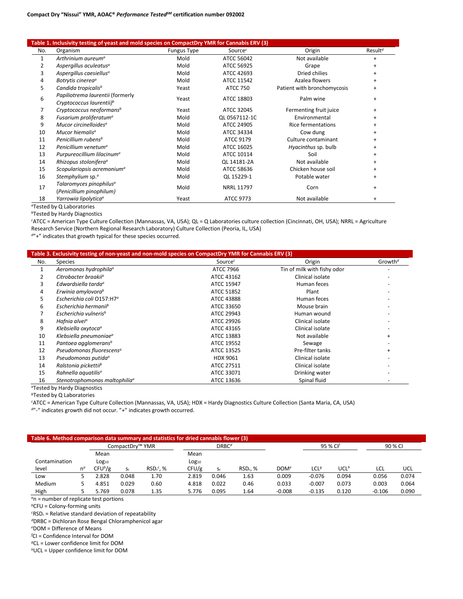#### **Table 1. Inclusivity testing of yeast and mold species on CompactDry YMR for Cannabis ERV (3)**

|     | able 1. inclusivity testing or yeast and mold species on compactbly fivin for cannabis ENV (3) |                    |                 |                             |                     |
|-----|------------------------------------------------------------------------------------------------|--------------------|-----------------|-----------------------------|---------------------|
| No. | Organism                                                                                       | <b>Fungus Type</b> | Sourcec         | Origin                      | Result <sup>d</sup> |
| 1   | Arthrinium aureum <sup>a</sup>                                                                 | Mold               | ATCC 56042      | Not available               |                     |
| 2   | Aspergillus aculeatus <sup>a</sup>                                                             | Mold               | ATCC 56925      | Grape                       | $\ddot{}$           |
| 3   | Aspergillus caesiellus <sup>a</sup>                                                            | Mold               | ATCC 42693      | Dried chilies               |                     |
| 4   | Botrytis cinerea <sup>a</sup>                                                                  | Mold               | ATCC 11542      | Azalea flowers              | $\ddot{}$           |
| 5   | Candida tropicalis <sup>b</sup>                                                                | Yeast              | <b>ATCC 750</b> | Patient with bronchomycosis | $\ddot{}$           |
| 6   | Papiliotrema laurentii (formerly                                                               | Yeast              | ATCC 18803      | Palm wine                   |                     |
|     | Cryptococcus laurentii) <sup>b</sup>                                                           |                    |                 |                             |                     |
| 7   | Cryptococcus neoformans <sup>b</sup>                                                           | Yeast              | ATCC 32045      | Fermenting fruit juice      | $\ddot{}$           |
| 8   | Fusarium proliferatum <sup>a</sup>                                                             | Mold               | OL 0567112-1C   | Environmental               | $\ddot{}$           |
| 9   | Mucor circinelloides <sup>a</sup>                                                              | Mold               | ATCC 24905      | <b>Rice fermentations</b>   |                     |
| 10  | Mucor hiemalis <sup>a</sup>                                                                    | Mold               | ATCC 34334      | Cow dung                    | $\ddot{}$           |
| 11  | Penicillium rubens <sup>b</sup>                                                                | Mold               | ATCC 9179       | Culture contaminant         | $\ddot{}$           |
| 12  | Penicillium venetum <sup>a</sup>                                                               | Mold               | ATCC 16025      | Hyacinthus sp. bulb         | $\ddot{}$           |
| 13  | Purpureocillium lilacinum <sup>a</sup>                                                         | Mold               | ATCC 10114      | Soil                        | $\ddot{}$           |
| 14  | Rhizopus stolonifera <sup>a</sup>                                                              | Mold               | QL 14181-2A     | Not available               | $\ddot{}$           |
| 15  | Scopulariopsis acremonium <sup>a</sup>                                                         | Mold               | ATCC 58636      | Chicken house soil          | $\ddot{}$           |
| 16  | Stemphylium sp. <sup>a</sup>                                                                   | Mold               | QL 15229-1      | Potable water               | $\ddot{}$           |
| 17  | Talaromyces pinophilus <sup>a</sup>                                                            | Mold               | NRRL 11797      |                             |                     |
|     | (Penicillium pinophilum)                                                                       |                    |                 | Corn                        | $\ddot{}$           |
| 18  | Yarrowia lipolyticaª                                                                           | Yeast              | ATCC 9773       | Not available               | $\ddot{}$           |

*<sup>a</sup>*Tested by Q Laboratories

*<sup>b</sup>*Tested by Hardy Diagnostics

*c* ATCC = American Type Culture Collection (Mannassas, VA, USA); QL = Q Laboratories culture collection (Cincinnati, OH, USA); NRRL = Agriculture Research Service (Northern Regional Research Laboratory) Culture Collection (Peoria, IL, USA)

*<sup>d</sup>*"+" indicates that growth typical for these species occurred.

|     | Table 3. Exclusivity testing of non-yeast and non-mold species on CompactDry YMR for Cannabis ERV (3) |                  |                             |                     |
|-----|-------------------------------------------------------------------------------------------------------|------------------|-----------------------------|---------------------|
| No. | Species                                                                                               | Source $c$       | Origin                      | Growth <sup>d</sup> |
| 1   | Aeromonas hydrophila <sup>a</sup>                                                                     | <b>ATCC 7966</b> | Tin of milk with fishy odor |                     |
|     | Citrobacter braakii <sup>o</sup>                                                                      | ATCC 43162       | Clinical isolate            |                     |
| 3   | Edwardsiella tarda <sup>a</sup>                                                                       | ATCC 15947       | Human feces                 |                     |
|     | Erwinia amylovora <sup>b</sup>                                                                        | ATCC 51852       | Plant                       |                     |
|     | Escherichia coli O157:H7 <sup>a</sup>                                                                 | ATCC 43888       | Human feces                 |                     |
| 6   | Escherichia hermanii <sup>b</sup>                                                                     | ATCC 33650       | Mouse brain                 |                     |
|     | Escherichia vulneris <sup>b</sup>                                                                     | ATCC 29943       | Human wound                 |                     |
| 8   | Hafnia alvei <sup>a</sup>                                                                             | ATCC 29926       | Clinical isolate            |                     |
| 9   | Klebsiella oxytoca <sup>a</sup>                                                                       | ATCC 43165       | Clinical isolate            |                     |
| 10  | Klebsiella pneumoniae <sup>a</sup>                                                                    | ATCC 13883       | Not available               | $\ddot{}$           |
| 11  | Pantoea agglomerans <sup>b</sup>                                                                      | ATCC 19552       | Sewage                      |                     |
| 12  | Pseudomonas fluorescens <sup>a</sup>                                                                  | ATCC 13525       | Pre-filter tanks            | $\ddot{}$           |
| 13  | Pseudomonas putida <sup>a</sup>                                                                       | HDX 9061         | Clinical isolate            |                     |
| 14  | Ralstonia pickettiib                                                                                  | ATCC 27511       | Clinical isolate            |                     |
| 15  | Rahnella aquatilis <sup>a</sup>                                                                       | ATCC 33071       | Drinking water              |                     |
| 16  | Stenotrophomonas maltophilia <sup>a</sup>                                                             | ATCC 13636       | Spinal fluid                |                     |

*<sup>a</sup>*Tested by Hardy Diagnostics

*<sup>b</sup>*Tested by Q Laboratories

*c* ATCC = American Type Culture Collection (Mannassas, VA, USA); HDX = Hardy Diagnostics Culture Collection (Santa Maria, CA, USA)

*<sup>d</sup>*"-" indicates growth did not occur. "+" indicates growth occurred.

|               |              |                   | CompactDry™ YMR |            |            | DRBC <sup>d</sup> |                      |                  | 95 % Cl <sup>f</sup> |                  |          | 90 % CI |
|---------------|--------------|-------------------|-----------------|------------|------------|-------------------|----------------------|------------------|----------------------|------------------|----------|---------|
|               |              | Mean              |                 |            | Mean       |                   |                      |                  |                      |                  |          |         |
| Contamination |              | Log <sub>10</sub> |                 |            | $Log_{10}$ |                   |                      |                  |                      |                  |          |         |
| level         | $n^{\alpha}$ | $CFU^b/g$         | $S_r$           | $RSDr$ . % | CFU/g      | $S_{\mathsf{r}}$  | RSD <sub>r</sub> . % | DOM <sup>e</sup> | LCL <sup>g</sup>     | UCL <sup>h</sup> | LCL      | UCL     |
| Low           |              | 2.828             | 0.048           | 1.70       | 2.819      | 0.046             | 1.63                 | 0.009            | $-0.076$             | 0.094            | 0.056    | 0.074   |
| Medium        |              | 4.851             | 0.029           | 0.60       | 4.818      | 0.022             | 0.46                 | 0.033            | $-0.007$             | 0.073            | 0.003    | 0.064   |
| High          |              | 5.769             | 0.078           | 1.35       | 5.776      | 0.095             | 1.64                 | $-0.008$         | $-0.135$             | 0.120            | $-0.106$ | 0.090   |

*<sup>a</sup>*n = number of replicate test portions

*<sup>b</sup>*CFU = Colony-forming units

*c* RSDr = Relative standard deviation of repeatability

*<sup>d</sup>*DRBC = Dichloran Rose Bengal Chloramphenicol agar

*e* DOM = Difference of Means

*f* CI = Confidence Interval for DOM

*<sup>g</sup>*CL = Lower confidence limit for DOM

*h*UCL = Upper confidence limit for DOM